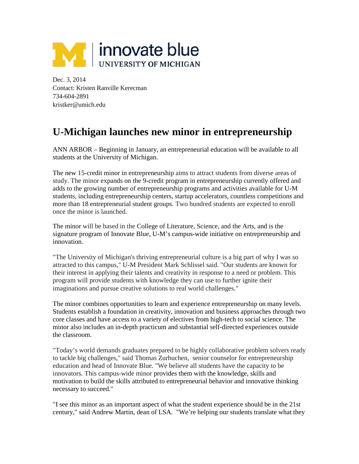

Dec. 3, 2014 Contact: Kristen Ranville Kerecman 734-604-2891 kristker@umich.edu

## **U-Michigan launches new minor in entrepreneurship**

ANN ARBOR – Beginning in January, an entrepreneurial education will be available to all students at the University of Michigan.

The new 15-credit minor in entrepreneurship aims to attract students from diverse areas of study. The minor expands on the 9-credit program in entrepreneurship currently offered and adds to the growing number of entrepreneurship programs and activities available for U-M students, including entrepreneurship centers, startup accelerators, countless competitions and more than 18 entrepreneurial student groups. Two hundred students are expected to enroll once the minor is launched.

The minor will be based in the College of Literature, Science, and the Arts, and is the signature program of Innovate Blue, U-M's campus-wide initiative on entrepreneurship and innovation.

"The University of Michigan's thriving entrepreneurial culture is a big part of why I was so attracted to this campus," U-M President Mark Schlissel said. "Our students are known for their interest in applying their talents and creativity in response to a need or problem. This program will provide students with knowledge they can use to further ignite their imaginations and pursue creative solutions to real world challenges."

The minor combines opportunities to learn and experience entrepreneurship on many levels. Students establish a foundation in creativity, innovation and business approaches through two core classes and have access to a variety of electives from high-tech to social science. The minor also includes an in-depth practicum and substantial self-directed experiences outside the classroom.

"Today's world demands graduates prepared to be highly collaborative problem solvers ready to tackle big challenges," said Thomas Zurbuchen, senior counselor for entrepreneurship education and head of Innovate Blue. "We believe all students have the capacity to be innovators. This campus-wide minor provides them with the knowledge, skills and motivation to build the skills attributed to entrepreneurial behavior and innovative thinking necessary to succeed."

"I see this minor as an important aspect of what the student experience should be in the 21st century," said Andrew Martin, dean of LSA. "We're helping our students translate what they